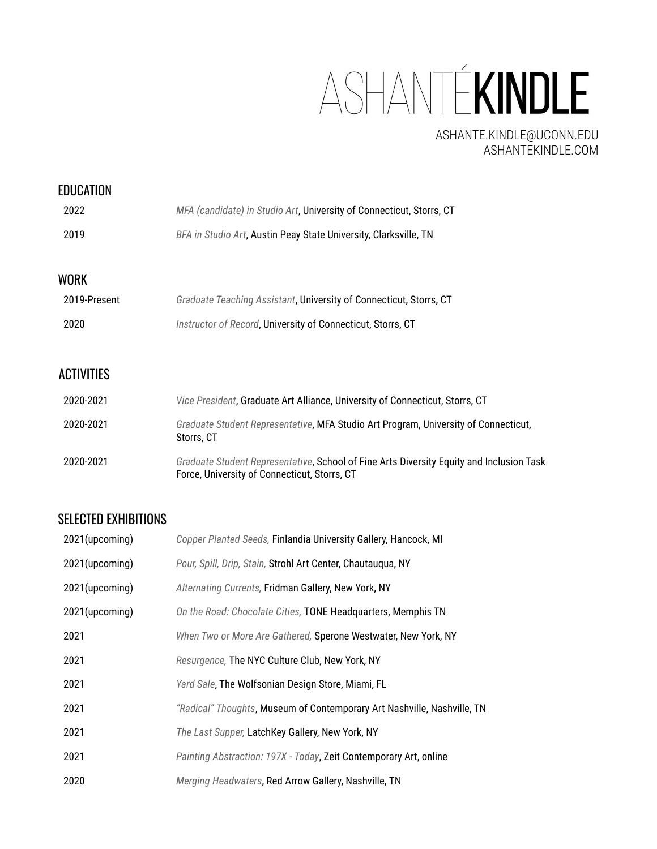ASHANTÉKINDLE

ASHANTE.KINDLE@UCONN.EDU ASHANTEKINDLE.COM

### **EDUCATION**

| 2022 | MFA (candidate) in Studio Art, University of Connecticut, Storrs, CT |
|------|----------------------------------------------------------------------|
| 2019 | BFA in Studio Art, Austin Peay State University, Clarksville, TN     |

## WORK

| 2019-Present | Graduate Teaching Assistant, University of Connecticut, Storrs, CT |
|--------------|--------------------------------------------------------------------|
| 2020         | Instructor of Record, University of Connecticut, Storrs, CT        |

## ACTIVITIES

| 2020-2021 | Vice President, Graduate Art Alliance, University of Connecticut, Storrs, CT                                                             |
|-----------|------------------------------------------------------------------------------------------------------------------------------------------|
| 2020-2021 | Graduate Student Representative, MFA Studio Art Program, University of Connecticut,<br>Storrs, CT                                        |
| 2020-2021 | Graduate Student Representative, School of Fine Arts Diversity Equity and Inclusion Task<br>Force, University of Connecticut, Storrs, CT |

### SELECTED EXHIBITIONS

| 2021(upcoming) | Copper Planted Seeds, Finlandia University Gallery, Hancock, MI         |
|----------------|-------------------------------------------------------------------------|
| 2021(upcoming) | Pour, Spill, Drip, Stain, Strohl Art Center, Chautauqua, NY             |
| 2021(upcoming) | Alternating Currents, Fridman Gallery, New York, NY                     |
| 2021(upcoming) | On the Road: Chocolate Cities, TONE Headquarters, Memphis TN            |
| 2021           | When Two or More Are Gathered, Sperone Westwater, New York, NY          |
| 2021           | Resurgence, The NYC Culture Club, New York, NY                          |
| 2021           | Yard Sale, The Wolfsonian Design Store, Miami, FL                       |
| 2021           | "Radical" Thoughts, Museum of Contemporary Art Nashville, Nashville, TN |
| 2021           | The Last Supper, LatchKey Gallery, New York, NY                         |
| 2021           | Painting Abstraction: 197X - Today, Zeit Contemporary Art, online       |
| 2020           | Merging Headwaters, Red Arrow Gallery, Nashville, TN                    |